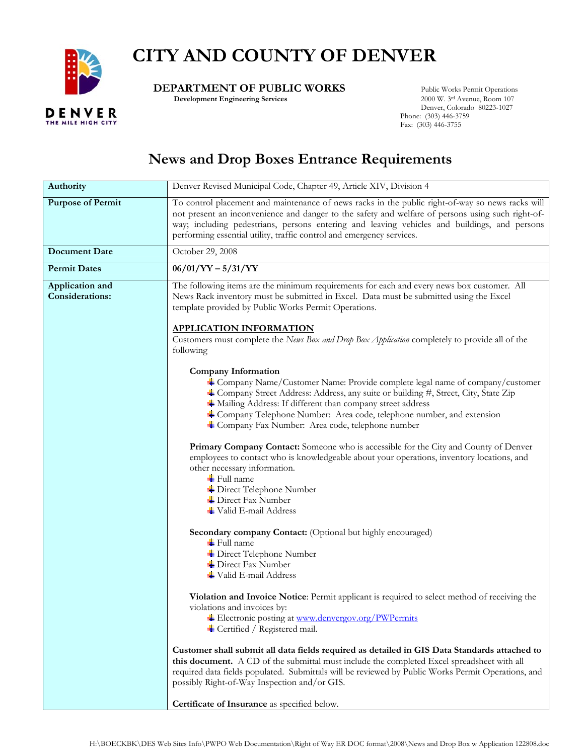

## **CITY AND COUNTY OF DENVER**

## **DEPARTMENT OF PUBLIC WORKS** Public Works Permit Operations<br>Development Engineering Services 2000 W. 3rd Avenue, Room 107

 **Development Engineering Services** 

 Denver, Colorado 80223-1027 Phone: (303) 446-3759 Fax: (303) 446-3755

## **News and Drop Boxes Entrance Requirements**

| Authority                                 | Denver Revised Municipal Code, Chapter 49, Article XIV, Division 4                                                                                                                                                                                                                                                                                                                                    |  |  |
|-------------------------------------------|-------------------------------------------------------------------------------------------------------------------------------------------------------------------------------------------------------------------------------------------------------------------------------------------------------------------------------------------------------------------------------------------------------|--|--|
| <b>Purpose of Permit</b>                  | To control placement and maintenance of news racks in the public right-of-way so news racks will<br>not present an inconvenience and danger to the safety and welfare of persons using such right-of-<br>way; including pedestrians, persons entering and leaving vehicles and buildings, and persons<br>performing essential utility, traffic control and emergency services.                        |  |  |
| <b>Document Date</b>                      | October 29, 2008                                                                                                                                                                                                                                                                                                                                                                                      |  |  |
| <b>Permit Dates</b>                       | $06/01/YY - 5/31/YY$                                                                                                                                                                                                                                                                                                                                                                                  |  |  |
| Application and<br><b>Considerations:</b> | The following items are the minimum requirements for each and every news box customer. All<br>News Rack inventory must be submitted in Excel. Data must be submitted using the Excel<br>template provided by Public Works Permit Operations.<br><b>APPLICATION INFORMATION</b>                                                                                                                        |  |  |
|                                           | Customers must complete the News Box and Drop Box Application completely to provide all of the<br>following                                                                                                                                                                                                                                                                                           |  |  |
|                                           | <b>Company Information</b><br><b>上 Company Name/Customer Name: Provide complete legal name of company/customer</b><br>+ Company Street Address: Address, any suite or building #, Street, City, State Zip<br>• Mailing Address: If different than company street address<br>Company Telephone Number: Area code, telephone number, and extension<br>+ Company Fax Number: Area code, telephone number |  |  |
|                                           | Primary Company Contact: Someone who is accessible for the City and County of Denver<br>employees to contact who is knowledgeable about your operations, inventory locations, and<br>other necessary information.<br>$\blacksquare$ Full name<br>+ Direct Telephone Number<br>+ Direct Fax Number<br>$\frac{1}{2}$ Valid E-mail Address                                                               |  |  |
|                                           | Secondary company Contact: (Optional but highly encouraged)<br>$\ddot{\bullet}$ Full name<br>+ Direct Telephone Number<br>$\rightarrow$ Direct Fax Number<br>$\frac{1}{2}$ Valid E-mail Address                                                                                                                                                                                                       |  |  |
|                                           | Violation and Invoice Notice: Permit applicant is required to select method of receiving the<br>violations and invoices by:<br>Electronic posting at www.denvergov.org/PWPermits<br>↓ Certified / Registered mail.                                                                                                                                                                                    |  |  |
|                                           | Customer shall submit all data fields required as detailed in GIS Data Standards attached to<br>this document. A CD of the submittal must include the completed Excel spreadsheet with all<br>required data fields populated. Submittals will be reviewed by Public Works Permit Operations, and<br>possibly Right-of-Way Inspection and/or GIS.                                                      |  |  |
|                                           | Certificate of Insurance as specified below.                                                                                                                                                                                                                                                                                                                                                          |  |  |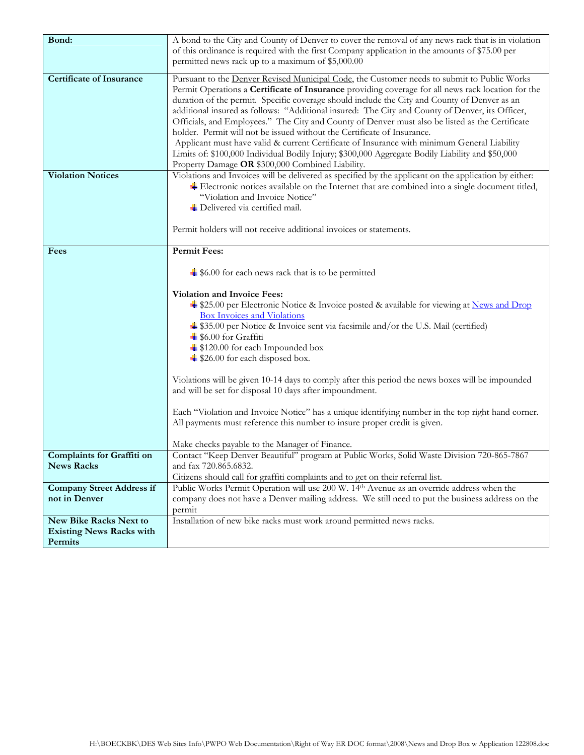| Bond:                                                                       | A bond to the City and County of Denver to cover the removal of any news rack that is in violation                                                                                                                                                                                                                                                                                                                                                                                                                                                                                                                                                                                                                                                                                                                                        |  |
|-----------------------------------------------------------------------------|-------------------------------------------------------------------------------------------------------------------------------------------------------------------------------------------------------------------------------------------------------------------------------------------------------------------------------------------------------------------------------------------------------------------------------------------------------------------------------------------------------------------------------------------------------------------------------------------------------------------------------------------------------------------------------------------------------------------------------------------------------------------------------------------------------------------------------------------|--|
|                                                                             | of this ordinance is required with the first Company application in the amounts of \$75.00 per<br>permitted news rack up to a maximum of \$5,000.00                                                                                                                                                                                                                                                                                                                                                                                                                                                                                                                                                                                                                                                                                       |  |
|                                                                             |                                                                                                                                                                                                                                                                                                                                                                                                                                                                                                                                                                                                                                                                                                                                                                                                                                           |  |
| <b>Certificate of Insurance</b>                                             | Pursuant to the Denver Revised Municipal Code, the Customer needs to submit to Public Works<br>Permit Operations a Certificate of Insurance providing coverage for all news rack location for the<br>duration of the permit. Specific coverage should include the City and County of Denver as an<br>additional insured as follows: "Additional insured: The City and County of Denver, its Officer,<br>Officials, and Employees." The City and County of Denver must also be listed as the Certificate<br>holder. Permit will not be issued without the Certificate of Insurance.<br>Applicant must have valid & current Certificate of Insurance with minimum General Liability<br>Limits of: \$100,000 Individual Bodily Injury; \$300,000 Aggregate Bodily Liability and \$50,000<br>Property Damage OR \$300,000 Combined Liability. |  |
| <b>Violation Notices</b>                                                    | Violations and Invoices will be delivered as specified by the applicant on the application by either:<br>$\ddot{ }$ Electronic notices available on the Internet that are combined into a single document titled,<br>"Violation and Invoice Notice"<br>Delivered via certified mail.<br>Permit holders will not receive additional invoices or statements.                                                                                                                                                                                                                                                                                                                                                                                                                                                                                |  |
| Fees                                                                        | <b>Permit Fees:</b>                                                                                                                                                                                                                                                                                                                                                                                                                                                                                                                                                                                                                                                                                                                                                                                                                       |  |
|                                                                             | $\div$ \$6.00 for each news rack that is to be permitted<br>Violation and Invoice Fees:<br>\$25.00 per Electronic Notice & Invoice posted & available for viewing at News and Drop<br><b>Box Invoices and Violations</b><br>$\frac{1}{2}$ \$35.00 per Notice & Invoice sent via facsimile and/or the U.S. Mail (certified)<br>$\ddagger$ \$6.00 for Graffiti<br>↓ \$120.00 for each Impounded box<br>S26.00 for each disposed box.<br>Violations will be given 10-14 days to comply after this period the news boxes will be impounded<br>and will be set for disposal 10 days after impoundment.<br>Each "Violation and Invoice Notice" has a unique identifying number in the top right hand corner.<br>All payments must reference this number to insure proper credit is given.<br>Make checks payable to the Manager of Finance.     |  |
| Complaints for Graffiti on                                                  | Contact "Keep Denver Beautiful" program at Public Works, Solid Waste Division 720-865-7867                                                                                                                                                                                                                                                                                                                                                                                                                                                                                                                                                                                                                                                                                                                                                |  |
| <b>News Racks</b>                                                           | and fax 720.865.6832.<br>Citizens should call for graffiti complaints and to get on their referral list.                                                                                                                                                                                                                                                                                                                                                                                                                                                                                                                                                                                                                                                                                                                                  |  |
| <b>Company Street Address if</b>                                            | Public Works Permit Operation will use 200 W. 14th Avenue as an override address when the                                                                                                                                                                                                                                                                                                                                                                                                                                                                                                                                                                                                                                                                                                                                                 |  |
| not in Denver                                                               | company does not have a Denver mailing address. We still need to put the business address on the                                                                                                                                                                                                                                                                                                                                                                                                                                                                                                                                                                                                                                                                                                                                          |  |
|                                                                             | permit                                                                                                                                                                                                                                                                                                                                                                                                                                                                                                                                                                                                                                                                                                                                                                                                                                    |  |
| <b>New Bike Racks Next to</b><br><b>Existing News Racks with</b><br>Permits | Installation of new bike racks must work around permitted news racks.                                                                                                                                                                                                                                                                                                                                                                                                                                                                                                                                                                                                                                                                                                                                                                     |  |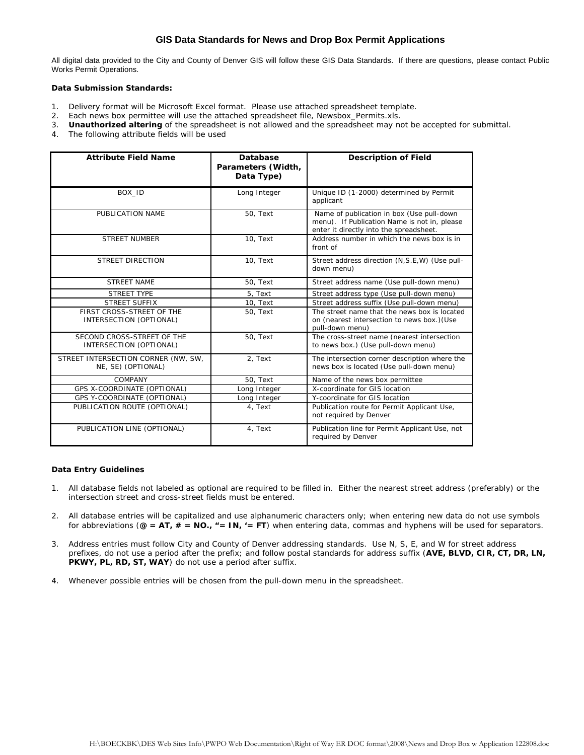#### **GIS Data Standards for News and Drop Box Permit Applications**

All digital data provided to the City and County of Denver GIS will follow these GIS Data Standards. If there are questions, please contact Public Works Permit Operations.

#### *Data Submission Standards:*

- 1. Delivery format will be Microsoft Excel format. Please use attached spreadsheet template.
- 2. Each news box permittee will use the attached spreadsheet file, *Newsbox\_Permits.xls*.
- 3. **Unauthorized altering** of the spreadsheet is not allowed and the spreadsheet may not be accepted for submittal.
- 4. The following attribute fields will be used

| <b>Attribute Field Name</b>                               | Database<br>Parameters (Width,<br>Data Type) | <b>Description of Field</b>                                                                                                          |
|-----------------------------------------------------------|----------------------------------------------|--------------------------------------------------------------------------------------------------------------------------------------|
| BOX ID                                                    | Long Integer                                 | Unique ID (1-2000) determined by Permit<br>applicant                                                                                 |
| PUBLICATION NAME                                          | 50, Text                                     | Name of publication in box (Use pull-down<br>menu). If Publication Name is not in, please<br>enter it directly into the spreadsheet. |
| <b>STREET NUMBER</b>                                      | 10, Text                                     | Address number in which the news box is in<br>front of                                                                               |
| <b>STREET DIRECTION</b>                                   | 10, Text                                     | Street address direction (N, S.E, W) (Use pull-<br>down menu)                                                                        |
| <b>STREET NAME</b>                                        | 50, Text                                     | Street address name (Use pull-down menu)                                                                                             |
| <b>STREET TYPE</b>                                        | 5. Text                                      | Street address type (Use pull-down menu)                                                                                             |
| STREET SUFFIX                                             | 10, Text                                     | Street address suffix (Use pull-down menu)                                                                                           |
| FIRST CROSS-STREET OF THE<br>INTERSECTION (OPTIONAL)      | 50, Text                                     | The street name that the news box is located<br>on (nearest intersection to news box.) (Use<br>pull-down menu)                       |
| SECOND CROSS-STREET OF THE<br>INTERSECTION (OPTIONAL)     | 50, Text                                     | The cross-street name (nearest intersection<br>to news box.) (Use pull-down menu)                                                    |
| STREET INTERSECTION CORNER (NW, SW,<br>NE, SE) (OPTIONAL) | 2, Text                                      | The intersection corner description where the<br>news box is located (Use pull-down menu)                                            |
| COMPANY                                                   | 50, Text                                     | Name of the news box permittee                                                                                                       |
| GPS X-COORDINATE (OPTIONAL)                               | Long Integer                                 | X-coordinate for GIS location                                                                                                        |
| GPS Y-COORDINATE (OPTIONAL)                               | Long Integer                                 | Y-coordinate for GIS location                                                                                                        |
| PUBLICATION ROUTE (OPTIONAL)                              | 4, Text                                      | Publication route for Permit Applicant Use,<br>not required by Denver                                                                |
| PUBLICATION LINE (OPTIONAL)                               | 4, Text                                      | Publication line for Permit Applicant Use, not<br>required by Denver                                                                 |

#### *Data Entry Guidelines*

- 1. All database fields not labeled as optional are required to be filled in. Either the nearest street address (preferably) or the intersection street and cross-street fields must be entered.
- 2. All database entries will be capitalized and use alphanumeric characters only; when entering new data do not use symbols for abbreviations (**@ = AT, # = NO., "= IN, '= FT**) when entering data, commas and hyphens will be used for separators.
- 3. Address entries must follow City and County of Denver addressing standards. Use N, S, E, and W for street address prefixes, do not use a period after the prefix; and follow postal standards for address suffix (**AVE, BLVD, CIR, CT, DR, LN, PKWY, PL, RD, ST, WAY**) do not use a period after suffix.
- 4. Whenever possible entries will be chosen from the pull-down menu in the spreadsheet.